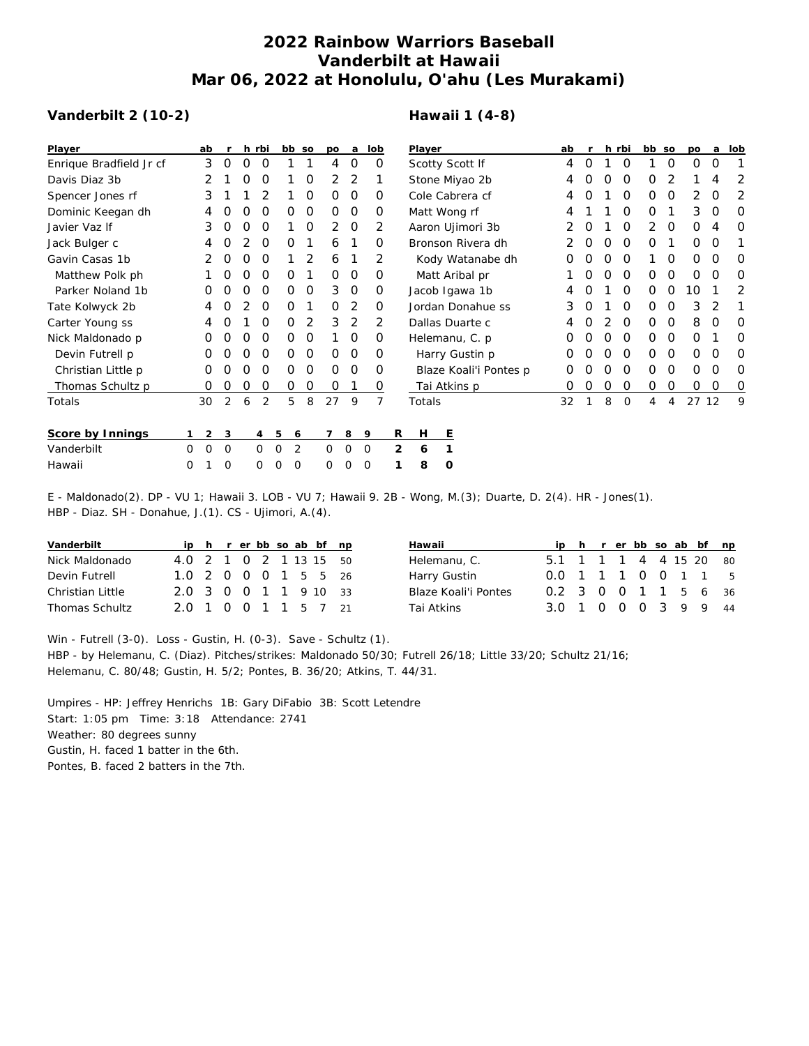## **2022 Rainbow Warriors Baseball Vanderbilt at Hawaii Mar 06, 2022 at Honolulu, O'ahu (Les Murakami)**

## **Vanderbilt 2 (10-2)**

## **Hawaii 1 (4-8)**

| Player                  |          | ab       | r           |          | h rbi          |          | bb so    | po       | a              | lob            |   | Player                 |         |                  |   | ab       |                  |          | h rbi    | bb so          |          | po          | a        | lob      |
|-------------------------|----------|----------|-------------|----------|----------------|----------|----------|----------|----------------|----------------|---|------------------------|---------|------------------|---|----------|------------------|----------|----------|----------------|----------|-------------|----------|----------|
| Enrique Bradfield Jr cf |          | 3        | 0           | $\Omega$ | O              |          |          | 4        | 0              | $\Omega$       |   | Scotty Scott If        |         |                  | 4 | O        |                  | O        |          | 0              | $\Omega$ | $\Omega$    |          |          |
| Davis Diaz 3b           |          |          |             |          | O              |          | 0        | 2        | 2              |                |   | Stone Miyao 2b         |         |                  |   | 4        |                  | O        | 0        | O              | 2        |             | 4        | 2        |
| Spencer Jones rf        |          | 3        |             |          |                |          | 0        | $\Omega$ | $\Omega$       | O              |   | Cole Cabrera cf        |         |                  |   | 4        |                  |          | $\Omega$ | 0              | 0        | 2           | $\Omega$ | 2        |
| Dominic Keegan dh       |          | 4        | O           | O        | $\Omega$       | 0        | 0        | $\Omega$ | $\overline{0}$ | 0              |   | Matt Wong rf           |         |                  |   | 4        |                  |          | 0        | 0              |          | 3           | 0        | 0        |
| Javier Vaz If           |          | 3        | O           | O        | $\Omega$       |          | 0        | 2        | $\overline{0}$ | 2              |   |                        |         | Aaron Ujimori 3b |   | 2        |                  |          | $\Omega$ | $\overline{2}$ | 0        | $\Omega$    | 4        | $\Omega$ |
| Jack Bulger c           |          | 4        | O           |          | $\Omega$       | Ο        |          | 6        |                | $\Omega$       |   | Bronson Rivera dh      |         |                  |   |          | $\left( \right)$ | O        | $\circ$  | 0              |          | $\mathbf 0$ | $\Omega$ |          |
| Gavin Casas 1b          |          |          | O           |          | O              |          | 2        | 6        |                | $\overline{2}$ |   | Kody Watanabe dh       |         |                  |   |          |                  | Ω        | $\Omega$ |                | 0        | 0           | O        | 0        |
| Matthew Polk ph         |          |          | O           | O        | $\Omega$       | 0        |          | $\Omega$ | 0              | O              |   | Matt Aribal pr         |         |                  |   |          | O                | O        | 0        | 0              | 0        | $\Omega$    | $\Omega$ | 0        |
| Parker Noland 1b        |          | Ο        | O           | O        | $\Omega$       | 0        | 0        | 3        | $\overline{0}$ | 0              |   | Jacob Igawa 1b         |         |                  |   | 4        |                  |          | $\Omega$ | 0              | 0        | 10          |          | 2        |
| Tate Kolwyck 2b         |          | 4        | O           |          | $\Omega$       | 0        |          | $\Omega$ | 2              | $\Omega$       |   | Jordan Donahue ss      |         |                  |   | 3        |                  |          | $\Omega$ | 0              | $\Omega$ | 3           | 2        | 1        |
| Carter Young ss         |          | 4        |             |          |                | 0        | 2        | 3        | 2              | 2              |   | Dallas Duarte c        |         |                  |   |          |                  |          | $\Omega$ | 0              | $\Omega$ | 8           | O        | O        |
| Nick Maldonado p        |          | O        |             |          | $\Omega$       | 0        | $\Omega$ |          | $\Omega$       | O              |   | Helemanu, C. p.        |         |                  |   |          |                  |          | $\Omega$ | $\Omega$       | 0        | $\Omega$    |          | O        |
| Devin Futrell p         |          | 0        | O           | O        | $\Omega$       | 0        | 0        | $\Omega$ | $\Omega$       | $\Omega$       |   | Harry Gustin p         |         |                  |   | $\Omega$ | $\left( \right)$ | $\Omega$ | $\Omega$ | $\Omega$       | $\Omega$ | 0           | $\Omega$ | 0        |
| Christian Little p      |          | 0        | O           | O        | $\Omega$       | 0        | 0        | $\Omega$ | $\Omega$       | $\Omega$       |   | Blaze Koali'i Pontes p |         |                  |   | O        |                  | O        | $\Omega$ | 0              | $\Omega$ | O           | $\Omega$ | 0        |
| Thomas Schultz p        |          | 0        | 0           | 0        | 0              | 0        | 0        | 0        |                | 0              |   | Tai Atkins p           |         |                  |   | 0        | O                | 0        | 0        | 0              | 0        | 0           | 0        | 0        |
| Totals                  |          | 30       | 2           | 6        | $\overline{2}$ | 5        | 8        | 27       | 9              | 7              |   | Totals                 |         |                  |   | 32       |                  | 8        | $\Omega$ | 4              | 4        | 27          | 12       | 9        |
| Score by Innings        | 1.       | 2        | 3           |          | 4              | 5        | 6        |          | 8              | 9              | R | Н                      | Ε       |                  |   |          |                  |          |          |                |          |             |          |          |
| Vanderbilt              | $\Omega$ | $\Omega$ | $\mathbf 0$ |          | $\Omega$       | $\Omega$ | 2        | $\Omega$ | 0              | $\mathbf 0$    | 2 | 6                      |         |                  |   |          |                  |          |          |                |          |             |          |          |
| Hawaii                  | 0        |          | 0           |          | 0              | 0        | $\circ$  | 0        | 0              | $\mathbf 0$    |   | 8                      | $\circ$ |                  |   |          |                  |          |          |                |          |             |          |          |

E - Maldonado(2). DP - VU 1; Hawaii 3. LOB - VU 7; Hawaii 9. 2B - Wong, M.(3); Duarte, D. 2(4). HR - Jones(1). HBP - Diaz. SH - Donahue, J.(1). CS - Ujimori, A.(4).

| Vanderbilt            |                        |  |  |  | ip h r er bb so ab bf np |
|-----------------------|------------------------|--|--|--|--------------------------|
| Nick Maldonado        | 4.0 2 1 0 2 1 13 15 50 |  |  |  |                          |
| Devin Futrell         | 1.0 2 0 0 0 1 5 5 26   |  |  |  |                          |
| Christian Little      | 2.0 3 0 0 1 1 9 10 33  |  |  |  |                          |
| <b>Thomas Schultz</b> | 2.0 1 0 0 1 1 5 7 21   |  |  |  |                          |

| Hawaii               |                        |  |  |  | ip h r er bb so ab bf np |
|----------------------|------------------------|--|--|--|--------------------------|
| Helemanu, C.         | 5.1 1 1 1 4 4 15 20 80 |  |  |  |                          |
| Harry Gustin         | 0.0 1 1 1 0 0 1 1 5    |  |  |  |                          |
| Blaze Koali'i Pontes | 0.2 3 0 0 1 1 5 6 36   |  |  |  |                          |
| Tai Atkins           | 3.0 1 0 0 0 3 9 9 44   |  |  |  |                          |

Win - Futrell (3-0). Loss - Gustin, H. (0-3). Save - Schultz (1).

HBP - by Helemanu, C. (Diaz). Pitches/strikes: Maldonado 50/30; Futrell 26/18; Little 33/20; Schultz 21/16; Helemanu, C. 80/48; Gustin, H. 5/2; Pontes, B. 36/20; Atkins, T. 44/31.

Umpires - HP: Jeffrey Henrichs 1B: Gary DiFabio 3B: Scott Letendre Start: 1:05 pm Time: 3:18 Attendance: 2741 Weather: 80 degrees sunny Gustin, H. faced 1 batter in the 6th. Pontes, B. faced 2 batters in the 7th.